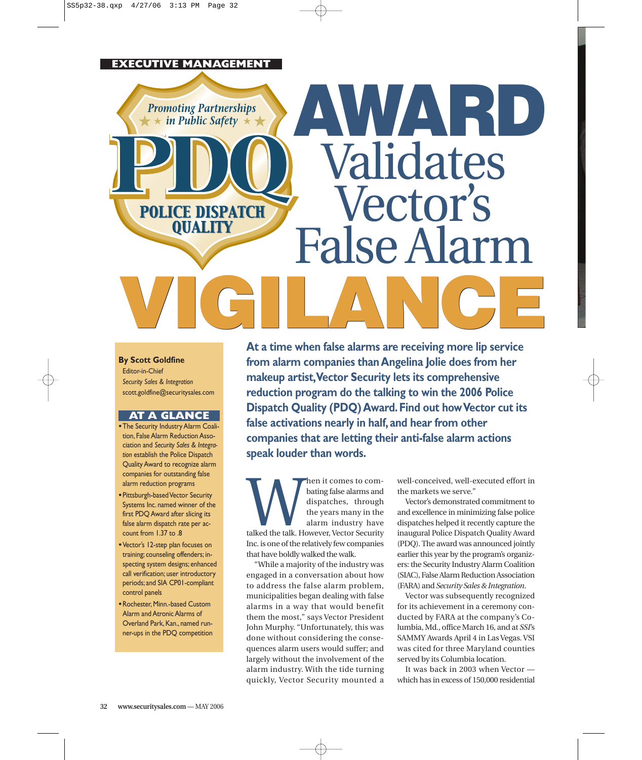# **EXECUTIVE MANAGEMENT**

**Promoting Partnerships**  $\star$  in Public Safety  $\star \star$ 

**POLICE DISPATCH OUALITY** 

#### **By Scott Goldfine**

Editor-in-Chief *Security Sales & Integration* scott.goldfine@securitysales.com

# **AT A GLANCE**

- •The Security Industry Alarm Coalition, False Alarm Reduction Association and *Security Sales & Integration* establish the Police Dispatch Quality Award to recognize alarm companies for outstanding false alarm reduction programs
- •Pittsburgh-based Vector Security Systems Inc. named winner of the first PDQ Award after slicing its false alarm dispatch rate per account from 1.37 to .8
- •Vector's 12-step plan focuses on training; counseling offenders; inspecting system designs; enhanced call verification; user introductory periods; and SIA CP01-compliant control panels
- •Rochester, Minn.-based Custom Alarm and Atronic Alarms of Overland Park, Kan., named runner-ups in the PDQ competition

**At a time when false alarms are receiving more lip service from alarm companies than Angelina Jolie does from her makeup artist,Vector Security lets its comprehensive reduction program do the talking to win the 2006 Police Dispatch Quality (PDQ) Award. Find out how Vector cut its false activations nearly in half, and hear from other companies that are letting their anti-false alarm actions speak louder than words. VIGILANCE VIGILANCE** 

**AWARD**

Validates

Vector's

False Alarm

Mann it comes to com-<br>dispatches, through<br>the years many in the<br>alarm industry have<br>talked the talk. However, Vector Security bating false alarms and dispatches, through the years many in the alarm industry have Inc. is one of the relatively few companies that have boldly walked the walk.

"While a majority of the industry was engaged in a conversation about how to address the false alarm problem, municipalities began dealing with false alarms in a way that would benefit them the most," says Vector President John Murphy. "Unfortunately, this was done without considering the consequences alarm users would suffer; and largely without the involvement of the alarm industry. With the tide turning quickly, Vector Security mounted a

well-conceived, well-executed effort in the markets we serve."

Vector's demonstrated commitment to and excellence in minimizing false police dispatches helped it recently capture the inaugural Police Dispatch Quality Award (PDQ). The award was announced jointly earlier this year by the program's organizers: the Security Industry Alarm Coalition (SIAC), False Alarm Reduction Association (FARA) and *Security Sales & Integration*.

Vector was subsequently recognized for its achievement in a ceremony conducted by FARA at the company's Columbia, Md., office March 16, and at *SSI*'s SAMMY Awards April 4 in Las Vegas. VSI was cited for three Maryland counties served by its Columbia location.

It was back in 2003 when Vector which has in excess of 150,000 residential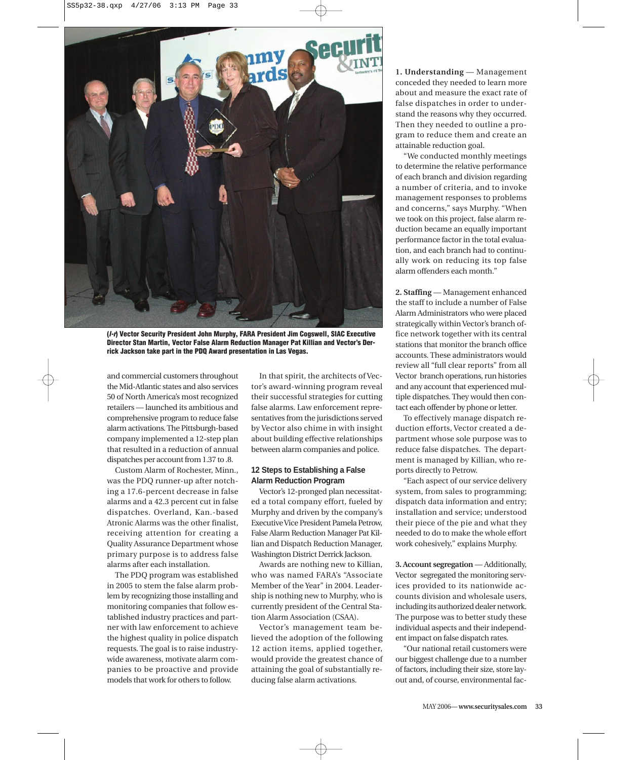

**(l-r) Vector Security President John Murphy, FARA President Jim Cogswell, SIAC Executive Director Stan Martin, Vector False Alarm Reduction Manager Pat Killian and Vector's Derrick Jackson take part in the PDQ Award presentation in Las Vegas.**

and commercial customers throughout the Mid-Atlantic states and also services 50 of North America's most recognized retailers — launched its ambitious and comprehensive program to reduce false alarm activations. The Pittsburgh-based company implemented a 12-step plan that resulted in a reduction of annual dispatches per account from 1.37 to .8.

Custom Alarm of Rochester, Minn., was the PDQ runner-up after notching a 17.6-percent decrease in false alarms and a 42.3 percent cut in false dispatches. Overland, Kan.-based Atronic Alarms was the other finalist, receiving attention for creating a Quality Assurance Department whose primary purpose is to address false alarms after each installation.

The PDQ program was established in 2005 to stem the false alarm problem by recognizing those installing and monitoring companies that follow established industry practices and partner with law enforcement to achieve the highest quality in police dispatch requests. The goal is to raise industrywide awareness, motivate alarm companies to be proactive and provide models that work for others to follow.

In that spirit, the architects of Vector's award-winning program reveal their successful strategies for cutting false alarms. Law enforcement representatives from the jurisdictions served by Vector also chime in with insight about building effective relationships between alarm companies and police.

#### **12 Steps to Establishing a False Alarm Reduction Program**

Vector's 12-pronged plan necessitated a total company effort, fueled by Murphy and driven by the company's Executive Vice President Pamela Petrow, False Alarm Reduction Manager Pat Killian and Dispatch Reduction Manager, Washington District Derrick Jackson.

Awards are nothing new to Killian, who was named FARA's "Associate Member of the Year" in 2004. Leadership is nothing new to Murphy, who is currently president of the Central Station Alarm Association (CSAA).

Vector's management team believed the adoption of the following 12 action items, applied together, would provide the greatest chance of attaining the goal of substantially reducing false alarm activations.

**1. Understanding** — Management conceded they needed to learn more about and measure the exact rate of false dispatches in order to understand the reasons why they occurred. Then they needed to outline a program to reduce them and create an attainable reduction goal.

"We conducted monthly meetings to determine the relative performance of each branch and division regarding a number of criteria, and to invoke management responses to problems and concerns," says Murphy. "When we took on this project, false alarm reduction became an equally important performance factor in the total evaluation, and each branch had to continually work on reducing its top false alarm offenders each month."

**2. Staffing** — Management enhanced the staff to include a number of False Alarm Administrators who were placed strategically within Vector's branch office network together with its central stations that monitor the branch office accounts. These administrators would review all "full clear reports" from all Vector branch operations, run histories and any account that experienced multiple dispatches. They would then contact each offender by phone or letter.

To effectively manage dispatch reduction efforts, Vector created a department whose sole purpose was to reduce false dispatches. The department is managed by Killian, who reports directly to Petrow.

"Each aspect of our service delivery system, from sales to programming; dispatch data information and entry; installation and service; understood their piece of the pie and what they needed to do to make the whole effort work cohesively," explains Murphy.

**3. Account segregation** — Additionally, Vector segregated the monitoring services provided to its nationwide accounts division and wholesale users, including its authorized dealer network. The purpose was to better study these individual aspects and their independent impact on false dispatch rates.

"Our national retail customers were our biggest challenge due to a number of factors, including their size, store layout and, of course, environmental fac-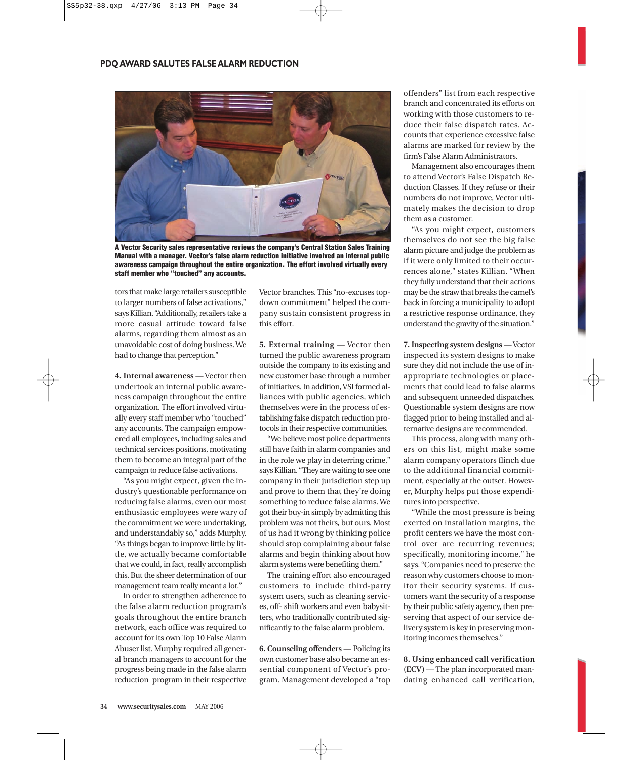

**A Vector Security sales representative reviews the company's Central Station Sales Training Manual with a manager. Vector's false alarm reduction initiative involved an internal public awareness campaign throughout the entire organization. The effort involved virtually every staff member who "touched" any accounts.**

tors that make large retailers susceptible to larger numbers of false activations," says Killian. "Additionally, retailers take a more casual attitude toward false alarms, regarding them almost as an unavoidable cost of doing business. We had to change that perception."

**4. Internal awareness** — Vector then undertook an internal public awareness campaign throughout the entire organization. The effort involved virtually every staff member who "touched" any accounts. The campaign empowered all employees, including sales and technical services positions, motivating them to become an integral part of the campaign to reduce false activations.

"As you might expect, given the industry's questionable performance on reducing false alarms, even our most enthusiastic employees were wary of the commitment we were undertaking, and understandably so," adds Murphy. "As things began to improve little by little, we actually became comfortable that we could, in fact, really accomplish this. But the sheer determination of our management team really meant a lot."

In order to strengthen adherence to the false alarm reduction program's goals throughout the entire branch network, each office was required to account for its own Top 10 False Alarm Abuser list. Murphy required all general branch managers to account for the progress being made in the false alarm reduction program in their respective Vector branches. This "no-excuses topdown commitment" helped the company sustain consistent progress in this effort.

**5. External training** — Vector then turned the public awareness program outside the company to its existing and new customer base through a number of initiatives. In addition, VSI formed alliances with public agencies, which themselves were in the process of establishing false dispatch reduction protocols in their respective communities.

"We believe most police departments still have faith in alarm companies and in the role we play in deterring crime," says Killian. "They are waiting to see one company in their jurisdiction step up and prove to them that they're doing something to reduce false alarms. We got their buy-in simply by admitting this problem was not theirs, but ours. Most of us had it wrong by thinking police should stop complaining about false alarms and begin thinking about how alarm systems were benefiting them."

The training effort also encouraged customers to include third-party system users, such as cleaning services, off- shift workers and even babysitters, who traditionally contributed significantly to the false alarm problem.

**6. Counseling offenders** — Policing its own customer base also became an essential component of Vector's program. Management developed a "top

offenders" list from each respective branch and concentrated its efforts on working with those customers to reduce their false dispatch rates. Accounts that experience excessive false alarms are marked for review by the firm's False Alarm Administrators.

Management also encourages them to attend Vector's False Dispatch Reduction Classes. If they refuse or their numbers do not improve, Vector ultimately makes the decision to drop them as a customer.

"As you might expect, customers themselves do not see the big false alarm picture and judge the problem as if it were only limited to their occurrences alone," states Killian. "When they fully understand that their actions may be the straw that breaks the camel's back in forcing a municipality to adopt a restrictive response ordinance, they understand the gravity of the situation."

**7. Inspecting system designs** — Vector inspected its system designs to make sure they did not include the use of inappropriate technologies or placements that could lead to false alarms and subsequent unneeded dispatches. Questionable system designs are now flagged prior to being installed and alternative designs are recommended.

This process, along with many others on this list, might make some alarm company operators flinch due to the additional financial commitment, especially at the outset. However, Murphy helps put those expenditures into perspective.

"While the most pressure is being exerted on installation margins, the profit centers we have the most control over are recurring revenues; specifically, monitoring income," he says. "Companies need to preserve the reason why customers choose to monitor their security systems. If customers want the security of a response by their public safety agency, then preserving that aspect of our service delivery system is key in preserving monitoring incomes themselves."

**8. Using enhanced call verification (ECV)** — The plan incorporated mandating enhanced call verification,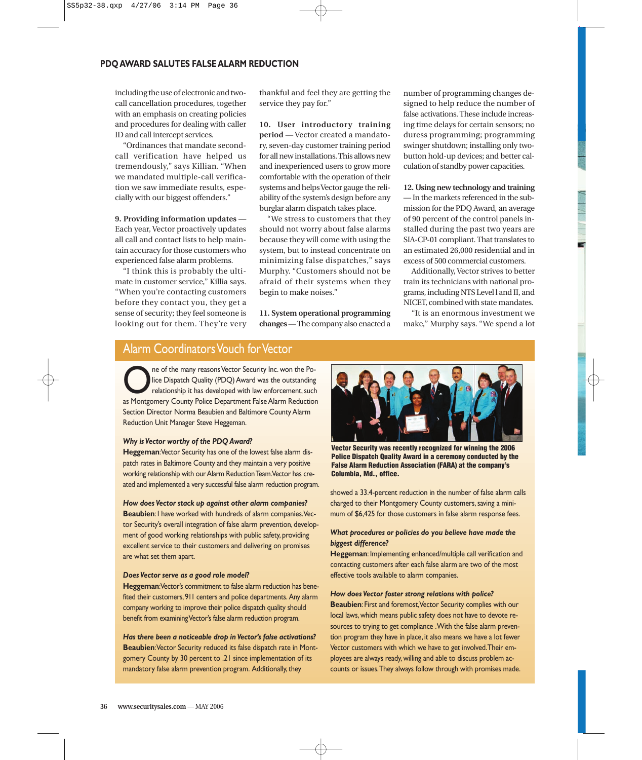including the use of electronic and twocall cancellation procedures, together with an emphasis on creating policies and procedures for dealing with caller ID and call intercept services.

"Ordinances that mandate secondcall verification have helped us tremendously," says Killian. "When we mandated multiple-call verification we saw immediate results, especially with our biggest offenders."

## **9. Providing information updates** —

Each year, Vector proactively updates all call and contact lists to help maintain accuracy for those customers who experienced false alarm problems.

"I think this is probably the ultimate in customer service," Killia says. "When you're contacting customers before they contact you, they get a sense of security; they feel someone is looking out for them. They're very

thankful and feel they are getting the service they pay for."

**10. User introductory training period** — Vector created a mandatory, seven-day customer training period for all new installations. This allows new and inexperienced users to grow more comfortable with the operation of their systems and helps Vector gauge the reliability of the system's design before any burglar alarm dispatch takes place.

"We stress to customers that they should not worry about false alarms because they will come with using the system, but to instead concentrate on minimizing false dispatches," says Murphy. "Customers should not be afraid of their systems when they begin to make noises."

**11. System operational programming changes**— The company also enacted a number of programming changes designed to help reduce the number of false activations. These include increasing time delays for certain sensors; no duress programming; programming swinger shutdown; installing only twobutton hold-up devices; and better calculation of standby power capacities.

### **12. Using new technology and training**

— In the markets referenced in the submission for the PDQ Award, an average of 90 percent of the control panels installed during the past two years are SIA-CP-01 compliant. That translates to an estimated 26,000 residential and in excess of 500 commercial customers.

Additionally, Vector strives to better train its technicians with national programs, including NTS Level l and II, and NICET, combined with state mandates.

"It is an enormous investment we make," Murphy says. "We spend a lot

# Alarm Coordinators Vouch for Vector

The of the many reasons Vector Security Inc. won the Po-<br>Ideo Dispatch Quality (PDQ) Award was the outstanding<br>relationship it has developed with law enforcement, such<br>as Montgomery County Police Department False Alarm Red lice Dispatch Quality (PDQ) Award was the outstanding relationship it has developed with law enforcement, such as Montgomery County Police Department False Alarm Reduction Section Director Norma Beaubien and Baltimore County Alarm Reduction Unit Manager Steve Heggeman.

### *Why is Vector worthy of the PDQ Award?*

**Heggeman**:Vector Security has one of the lowest false alarm dispatch rates in Baltimore County and they maintain a very positive working relationship with our Alarm Reduction Team.Vector has created and implemented a very successful false alarm reduction program.

#### *How does Vector stack up against other alarm companies?*

**Beaubien**: I have worked with hundreds of alarm companies.Vector Security's overall integration of false alarm prevention, development of good working relationships with public safety, providing excellent service to their customers and delivering on promises are what set them apart.

#### *Does Vector serve as a good role model?*

**Heggeman**:Vector's commitment to false alarm reduction has benefited their customers,911 centers and police departments. Any alarm company working to improve their police dispatch quality should benefit from examining Vector's false alarm reduction program.

*Has there been a noticeable drop in Vector's false activations?* **Beaubien**:Vector Security reduced its false dispatch rate in Montgomery County by 30 percent to .21 since implementation of its mandatory false alarm prevention program. Additionally, they



**Vector Security was recently recognized for winning the 2006 Police Dispatch Quality Award in a ceremony conducted by the False Alarm Reduction Association (FARA) at the company's Columbia, Md., office.**

showed a 33.4-percent reduction in the number of false alarm calls charged to their Montgomery County customers, saving a minimum of \$6,425 for those customers in false alarm response fees.

### *What procedures or policies do you believe have made the biggest difference?*

**Heggeman**: Implementing enhanced/multiple call verification and contacting customers after each false alarm are two of the most effective tools available to alarm companies.

#### *How does Vector foster strong relations with police?*

**Beaubien**: First and foremost,Vector Security complies with our local laws, which means public safety does not have to devote resources to trying to get compliance .With the false alarm prevention program they have in place, it also means we have a lot fewer Vector customers with which we have to get involved.Their employees are always ready, willing and able to discuss problem accounts or issues.They always follow through with promises made.